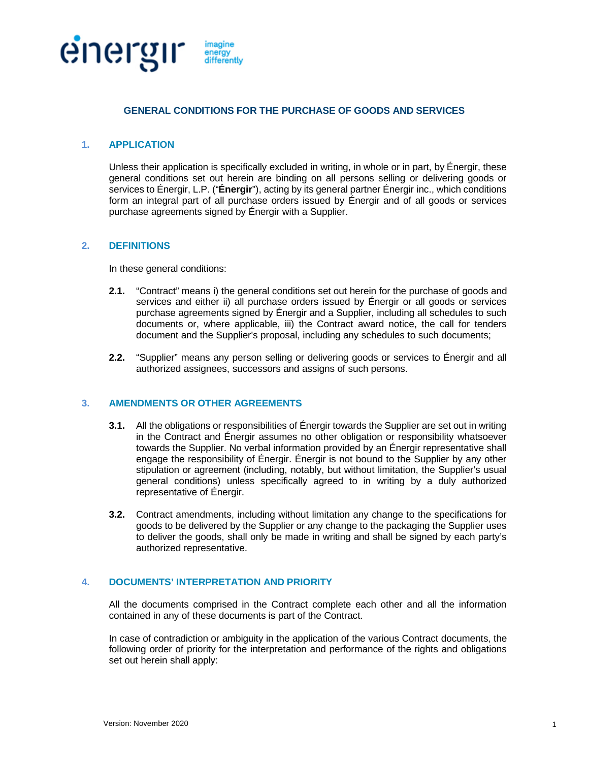

# **GENERAL CONDITIONS FOR THE PURCHASE OF GOODS AND SERVICES**

### **1. APPLICATION**

Unless their application is specifically excluded in writing, in whole or in part, by Énergir, these general conditions set out herein are binding on all persons selling or delivering goods or services to Énergir, L.P. ("**Énergir**"), acting by its general partner Énergir inc., which conditions form an integral part of all purchase orders issued by Énergir and of all goods or services purchase agreements signed by Énergir with a Supplier.

# **2. DEFINITIONS**

In these general conditions:

- **2.1.** "Contract" means i) the general conditions set out herein for the purchase of goods and services and either ii) all purchase orders issued by Énergir or all goods or services purchase agreements signed by Énergir and a Supplier, including all schedules to such documents or, where applicable, iii) the Contract award notice, the call for tenders document and the Supplier's proposal, including any schedules to such documents;
- **2.2.** "Supplier" means any person selling or delivering goods or services to Énergir and all authorized assignees, successors and assigns of such persons.

### **3. AMENDMENTS OR OTHER AGREEMENTS**

- **3.1.** All the obligations or responsibilities of Énergir towards the Supplier are set out in writing in the Contract and Énergir assumes no other obligation or responsibility whatsoever towards the Supplier. No verbal information provided by an Énergir representative shall engage the responsibility of Énergir. Énergir is not bound to the Supplier by any other stipulation or agreement (including, notably, but without limitation, the Supplier's usual general conditions) unless specifically agreed to in writing by a duly authorized representative of Énergir.
- **3.2.** Contract amendments, including without limitation any change to the specifications for goods to be delivered by the Supplier or any change to the packaging the Supplier uses to deliver the goods, shall only be made in writing and shall be signed by each party's authorized representative.

# **4. DOCUMENTS' INTERPRETATION AND PRIORITY**

All the documents comprised in the Contract complete each other and all the information contained in any of these documents is part of the Contract.

In case of contradiction or ambiguity in the application of the various Contract documents, the following order of priority for the interpretation and performance of the rights and obligations set out herein shall apply: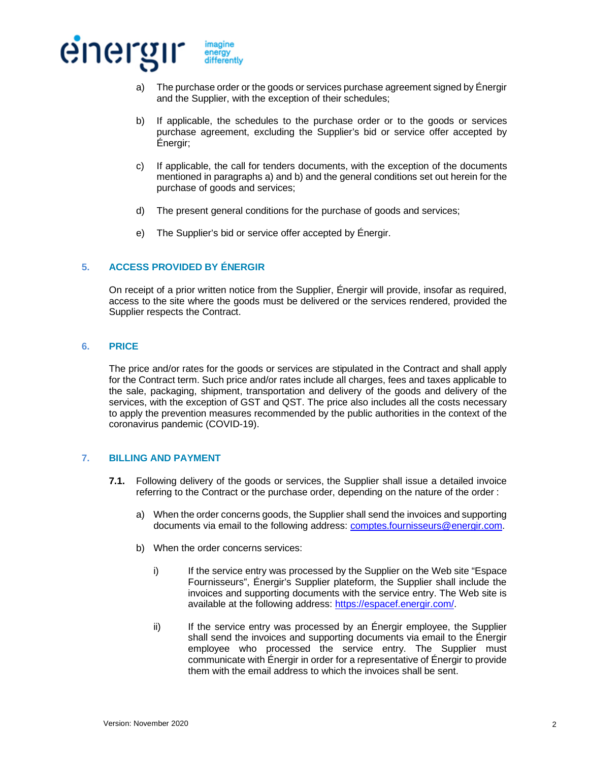

- a) The purchase order or the goods or services purchase agreement signed by Énergir and the Supplier, with the exception of their schedules;
- b) If applicable, the schedules to the purchase order or to the goods or services purchase agreement, excluding the Supplier's bid or service offer accepted by Énergir;
- c) If applicable, the call for tenders documents, with the exception of the documents mentioned in paragraphs a) and b) and the general conditions set out herein for the purchase of goods and services;
- d) The present general conditions for the purchase of goods and services;
- e) The Supplier's bid or service offer accepted by Énergir.

# **5. ACCESS PROVIDED BY ÉNERGIR**

On receipt of a prior written notice from the Supplier, Énergir will provide, insofar as required, access to the site where the goods must be delivered or the services rendered, provided the Supplier respects the Contract.

#### **6. PRICE**

The price and/or rates for the goods or services are stipulated in the Contract and shall apply for the Contract term. Such price and/or rates include all charges, fees and taxes applicable to the sale, packaging, shipment, transportation and delivery of the goods and delivery of the services, with the exception of GST and QST. The price also includes all the costs necessary to apply the prevention measures recommended by the public authorities in the context of the coronavirus pandemic (COVID-19).

# **7. BILLING AND PAYMENT**

- **7.1.** Following delivery of the goods or services, the Supplier shall issue a detailed invoice referring to the Contract or the purchase order, depending on the nature of the order :
	- a) When the order concerns goods, the Supplier shall send the invoices and supporting documents via email to the following address: [comptes.fournisseurs@energir.com.](mailto:comptes.fournisseurs@energir.com)
	- b) When the order concerns services:
		- i) If the service entry was processed by the Supplier on the Web site "Espace" Fournisseurs", Énergir's Supplier plateform, the Supplier shall include the invoices and supporting documents with the service entry. The Web site is available at the following address: [https://espacef.energir.com/.](https://espacef.energir.com/)
		- ii) If the service entry was processed by an Énergir employee, the Supplier shall send the invoices and supporting documents via email to the Énergir employee who processed the service entry. The Supplier must communicate with Énergir in order for a representative of Énergir to provide them with the email address to which the invoices shall be sent.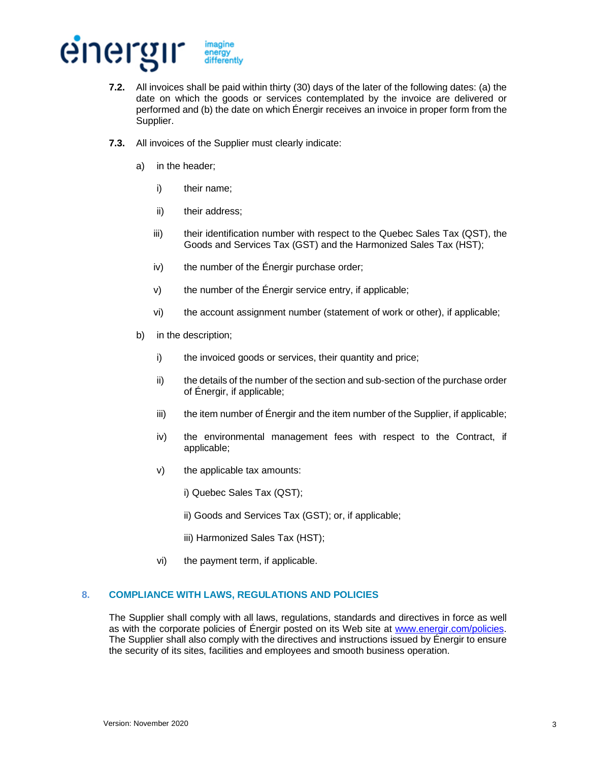

- **7.2.** All invoices shall be paid within thirty (30) days of the later of the following dates: (a) the date on which the goods or services contemplated by the invoice are delivered or performed and (b) the date on which Énergir receives an invoice in proper form from the Supplier.
- **7.3.** All invoices of the Supplier must clearly indicate:
	- a) in the header;
		- i) their name;
		- ii) their address;
		- iii) their identification number with respect to the Quebec Sales Tax (QST), the Goods and Services Tax (GST) and the Harmonized Sales Tax (HST);
		- $iv)$  the number of the Énergir purchase order;
		- v) the number of the Énergir service entry, if applicable;
		- vi) the account assignment number (statement of work or other), if applicable;
	- b) in the description;
		- i) the invoiced goods or services, their quantity and price;
		- ii) the details of the number of the section and sub-section of the purchase order of Énergir, if applicable;
		- iii) the item number of Énergir and the item number of the Supplier, if applicable;
		- iv) the environmental management fees with respect to the Contract, if applicable;
		- v) the applicable tax amounts:
			- i) Quebec Sales Tax (QST);
			- ii) Goods and Services Tax (GST); or, if applicable;
			- iii) Harmonized Sales Tax (HST);
		- vi) the payment term, if applicable.

#### **8. COMPLIANCE WITH LAWS, REGULATIONS AND POLICIES**

The Supplier shall comply with all laws, regulations, standards and directives in force as well as with the corporate policies of Énergir posted on its Web site at [www.energir.com/policies.](http://www.energir.com/policies) The Supplier shall also comply with the directives and instructions issued by Énergir to ensure the security of its sites, facilities and employees and smooth business operation.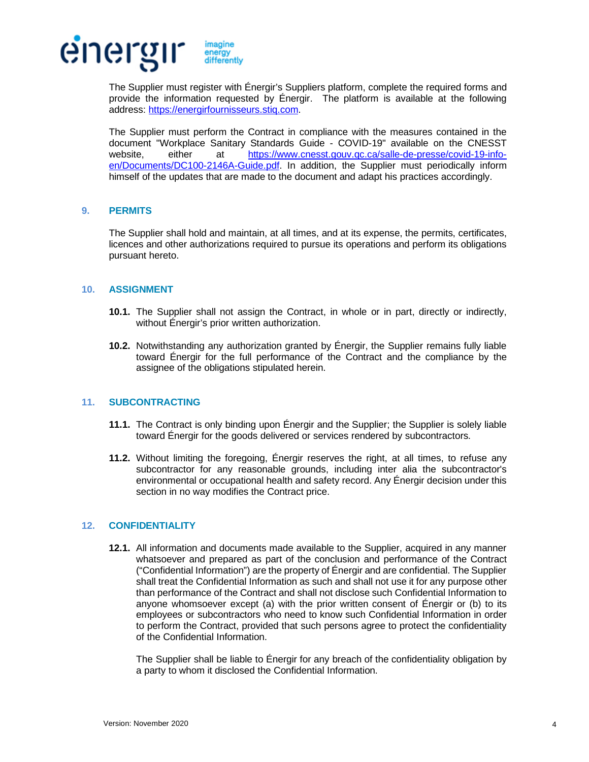

The Supplier must register with Énergir's Suppliers platform, complete the required forms and provide the information requested by Énergir. The platform is available at the following address: [https://energirfournisseurs.stiq.com.](https://energirfournisseurs.stiq.com/)

The Supplier must perform the Contract in compliance with the measures contained in the document "Workplace Sanitary Standards Guide - COVID-19" available on the CNESST website, either at [https://www.cnesst.gouv.qc.ca/salle-de-presse/covid-19-info](https://www.cnesst.gouv.qc.ca/salle-de-presse/covid-19-info-en/Documents/DC100-2146A-Guide.pdf)[en/Documents/DC100-2146A-Guide.pdf.](https://www.cnesst.gouv.qc.ca/salle-de-presse/covid-19-info-en/Documents/DC100-2146A-Guide.pdf) In addition, the Supplier must periodically inform himself of the updates that are made to the document and adapt his practices accordingly.

#### **9. PERMITS**

The Supplier shall hold and maintain, at all times, and at its expense, the permits, certificates, licences and other authorizations required to pursue its operations and perform its obligations pursuant hereto.

#### **10. ASSIGNMENT**

- **10.1.** The Supplier shall not assign the Contract, in whole or in part, directly or indirectly, without Énergir's prior written authorization.
- **10.2.** Notwithstanding any authorization granted by Énergir, the Supplier remains fully liable toward Énergir for the full performance of the Contract and the compliance by the assignee of the obligations stipulated herein.

# **11. SUBCONTRACTING**

- **11.1.** The Contract is only binding upon Énergir and the Supplier; the Supplier is solely liable toward Énergir for the goods delivered or services rendered by subcontractors.
- **11.2.** Without limiting the foregoing, Énergir reserves the right, at all times, to refuse any subcontractor for any reasonable grounds, including inter alia the subcontractor's environmental or occupational health and safety record. Any Énergir decision under this section in no way modifies the Contract price.

# <span id="page-3-0"></span>**12. CONFIDENTIALITY**

**12.1.** All information and documents made available to the Supplier, acquired in any manner whatsoever and prepared as part of the conclusion and performance of the Contract ("Confidential Information") are the property of Énergir and are confidential. The Supplier shall treat the Confidential Information as such and shall not use it for any purpose other than performance of the Contract and shall not disclose such Confidential Information to anyone whomsoever except (a) with the prior written consent of Énergir or (b) to its employees or subcontractors who need to know such Confidential Information in order to perform the Contract, provided that such persons agree to protect the confidentiality of the Confidential Information.

The Supplier shall be liable to Énergir for any breach of the confidentiality obligation by a party to whom it disclosed the Confidential Information.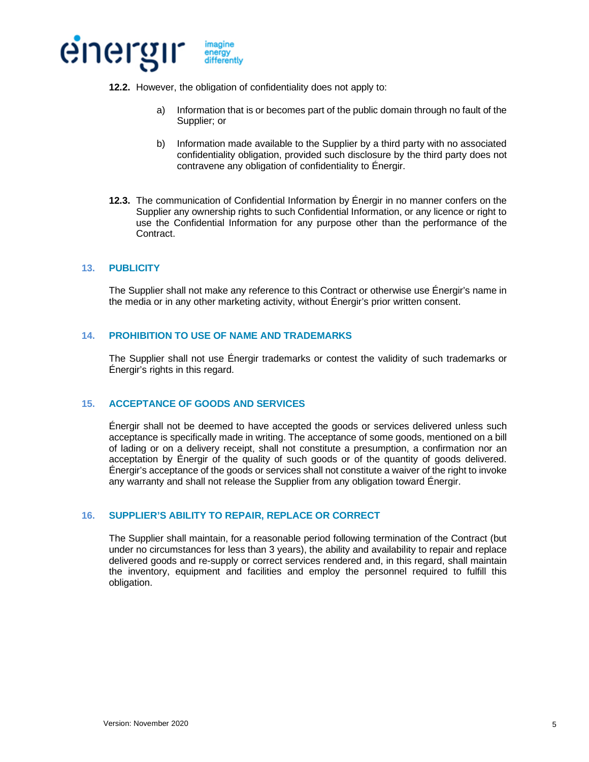

- **12.2.** However, the obligation of confidentiality does not apply to:
	- a) Information that is or becomes part of the public domain through no fault of the Supplier; or
	- b) Information made available to the Supplier by a third party with no associated confidentiality obligation, provided such disclosure by the third party does not contravene any obligation of confidentiality to Énergir.
- **12.3.** The communication of Confidential Information by Énergir in no manner confers on the Supplier any ownership rights to such Confidential Information, or any licence or right to use the Confidential Information for any purpose other than the performance of the Contract.

# **13. PUBLICITY**

The Supplier shall not make any reference to this Contract or otherwise use Énergir's name in the media or in any other marketing activity, without Énergir's prior written consent.

#### **14. PROHIBITION TO USE OF NAME AND TRADEMARKS**

The Supplier shall not use Énergir trademarks or contest the validity of such trademarks or Énergir's rights in this regard.

# **15. ACCEPTANCE OF GOODS AND SERVICES**

Énergir shall not be deemed to have accepted the goods or services delivered unless such acceptance is specifically made in writing. The acceptance of some goods, mentioned on a bill of lading or on a delivery receipt, shall not constitute a presumption, a confirmation nor an acceptation by Énergir of the quality of such goods or of the quantity of goods delivered. Énergir's acceptance of the goods or services shall not constitute a waiver of the right to invoke any warranty and shall not release the Supplier from any obligation toward Énergir.

#### **16. SUPPLIER'S ABILITY TO REPAIR, REPLACE OR CORRECT**

The Supplier shall maintain, for a reasonable period following termination of the Contract (but under no circumstances for less than 3 years), the ability and availability to repair and replace delivered goods and re-supply or correct services rendered and, in this regard, shall maintain the inventory, equipment and facilities and employ the personnel required to fulfill this obligation.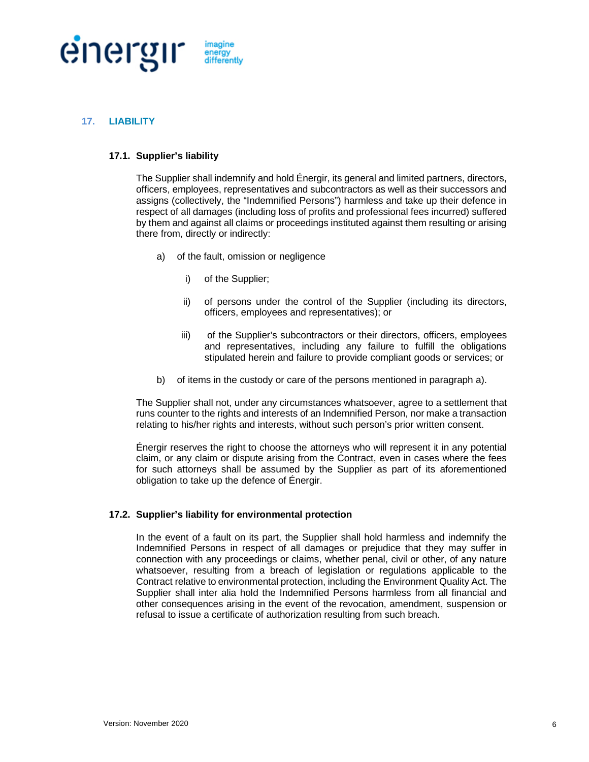

# <span id="page-5-0"></span>**17. LIABILITY**

# **17.1. Supplier's liability**

The Supplier shall indemnify and hold Énergir, its general and limited partners, directors, officers, employees, representatives and subcontractors as well as their successors and assigns (collectively, the "Indemnified Persons") harmless and take up their defence in respect of all damages (including loss of profits and professional fees incurred) suffered by them and against all claims or proceedings instituted against them resulting or arising there from, directly or indirectly:

- a) of the fault, omission or negligence
	- i) of the Supplier;
	- ii) of persons under the control of the Supplier (including its directors, officers, employees and representatives); or
	- iii) of the Supplier's subcontractors or their directors, officers, employees and representatives, including any failure to fulfill the obligations stipulated herein and failure to provide compliant goods or services; or
- b) of items in the custody or care of the persons mentioned in paragraph a).

The Supplier shall not, under any circumstances whatsoever, agree to a settlement that runs counter to the rights and interests of an Indemnified Person, nor make a transaction relating to his/her rights and interests, without such person's prior written consent.

Énergir reserves the right to choose the attorneys who will represent it in any potential claim, or any claim or dispute arising from the Contract, even in cases where the fees for such attorneys shall be assumed by the Supplier as part of its aforementioned obligation to take up the defence of Énergir.

# <span id="page-5-1"></span>**17.2. Supplier's liability for environmental protection**

In the event of a fault on its part, the Supplier shall hold harmless and indemnify the Indemnified Persons in respect of all damages or prejudice that they may suffer in connection with any proceedings or claims, whether penal, civil or other, of any nature whatsoever, resulting from a breach of legislation or regulations applicable to the Contract relative to environmental protection, including the Environment Quality Act. The Supplier shall inter alia hold the Indemnified Persons harmless from all financial and other consequences arising in the event of the revocation, amendment, suspension or refusal to issue a certificate of authorization resulting from such breach.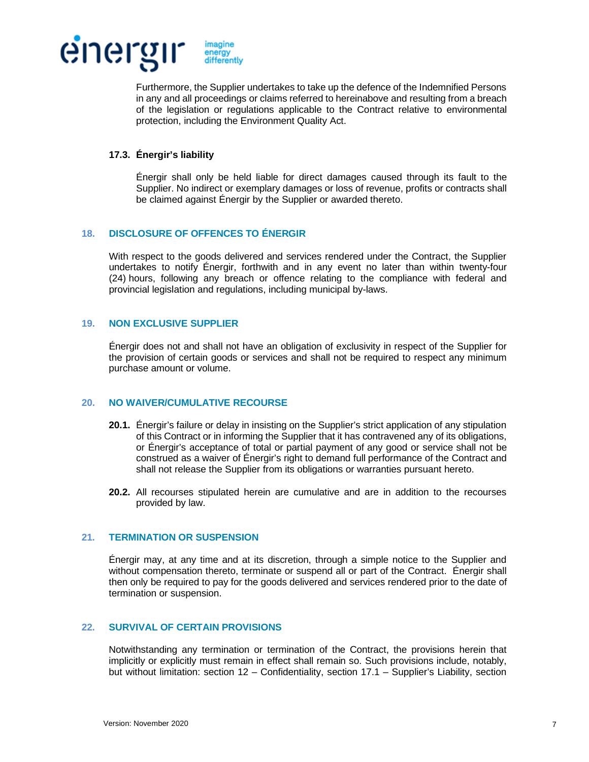

Furthermore, the Supplier undertakes to take up the defence of the Indemnified Persons in any and all proceedings or claims referred to hereinabove and resulting from a breach of the legislation or regulations applicable to the Contract relative to environmental protection, including the Environment Quality Act.

# **17.3. Énergir's liability**

Énergir shall only be held liable for direct damages caused through its fault to the Supplier. No indirect or exemplary damages or loss of revenue, profits or contracts shall be claimed against Énergir by the Supplier or awarded thereto.

# **18. DISCLOSURE OF OFFENCES TO ÉNERGIR**

With respect to the goods delivered and services rendered under the Contract, the Supplier undertakes to notify Énergir, forthwith and in any event no later than within twenty-four (24) hours, following any breach or offence relating to the compliance with federal and provincial legislation and regulations, including municipal by-laws.

# **19. NON EXCLUSIVE SUPPLIER**

Énergir does not and shall not have an obligation of exclusivity in respect of the Supplier for the provision of certain goods or services and shall not be required to respect any minimum purchase amount or volume.

# **20. NO WAIVER/CUMULATIVE RECOURSE**

- **20.1.** Énergir's failure or delay in insisting on the Supplier's strict application of any stipulation of this Contract or in informing the Supplier that it has contravened any of its obligations, or Énergir's acceptance of total or partial payment of any good or service shall not be construed as a waiver of Énergir's right to demand full performance of the Contract and shall not release the Supplier from its obligations or warranties pursuant hereto.
- **20.2.** All recourses stipulated herein are cumulative and are in addition to the recourses provided by law.

# **21. TERMINATION OR SUSPENSION**

Énergir may, at any time and at its discretion, through a simple notice to the Supplier and without compensation thereto, terminate or suspend all or part of the Contract. Énergir shall then only be required to pay for the goods delivered and services rendered prior to the date of termination or suspension.

# **22. SURVIVAL OF CERTAIN PROVISIONS**

Notwithstanding any termination or termination of the Contract, the provisions herein that implicitly or explicitly must remain in effect shall remain so. Such provisions include, notably, but without limitation: section [12](#page-3-0) – Confidentiality, section [17.1](#page-5-0) – Supplier's Liability, section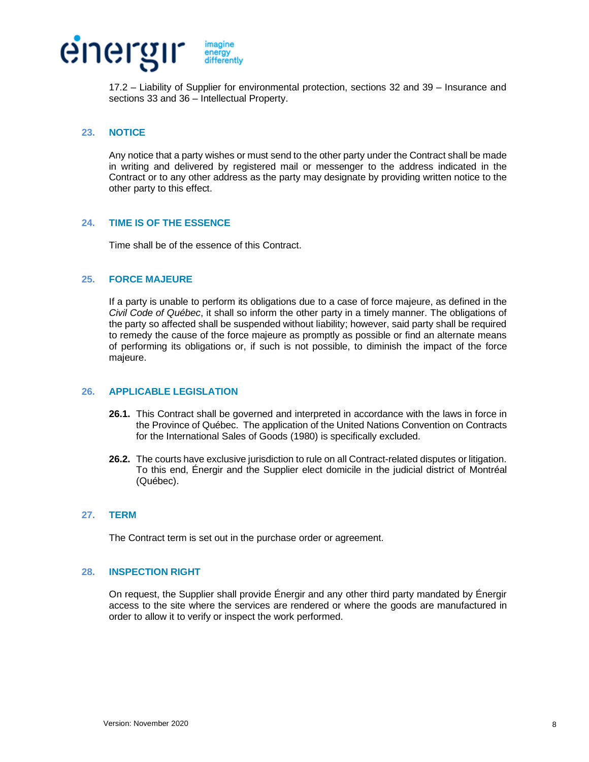

[17.2](#page-5-1) – Liability of Supplier for environmental protection, sections [32](#page-9-0) and [39](#page-12-0) – Insurance and sections [33](#page-10-0) and [36](#page-11-0) – Intellectual Property.

# **23. NOTICE**

Any notice that a party wishes or must send to the other party under the Contract shall be made in writing and delivered by registered mail or messenger to the address indicated in the Contract or to any other address as the party may designate by providing written notice to the other party to this effect.

# **24. TIME IS OF THE ESSENCE**

Time shall be of the essence of this Contract.

#### **25. FORCE MAJEURE**

If a party is unable to perform its obligations due to a case of force majeure, as defined in the *Civil Code of Québec*, it shall so inform the other party in a timely manner. The obligations of the party so affected shall be suspended without liability; however, said party shall be required to remedy the cause of the force majeure as promptly as possible or find an alternate means of performing its obligations or, if such is not possible, to diminish the impact of the force majeure.

# **26. APPLICABLE LEGISLATION**

- **26.1.** This Contract shall be governed and interpreted in accordance with the laws in force in the Province of Québec. The application of the United Nations Convention on Contracts for the International Sales of Goods (1980) is specifically excluded.
- **26.2.** The courts have exclusive jurisdiction to rule on all Contract-related disputes or litigation. To this end, Énergir and the Supplier elect domicile in the judicial district of Montréal (Québec).

# **27. TERM**

The Contract term is set out in the purchase order or agreement.

#### **28. INSPECTION RIGHT**

On request, the Supplier shall provide Énergir and any other third party mandated by Énergir access to the site where the services are rendered or where the goods are manufactured in order to allow it to verify or inspect the work performed.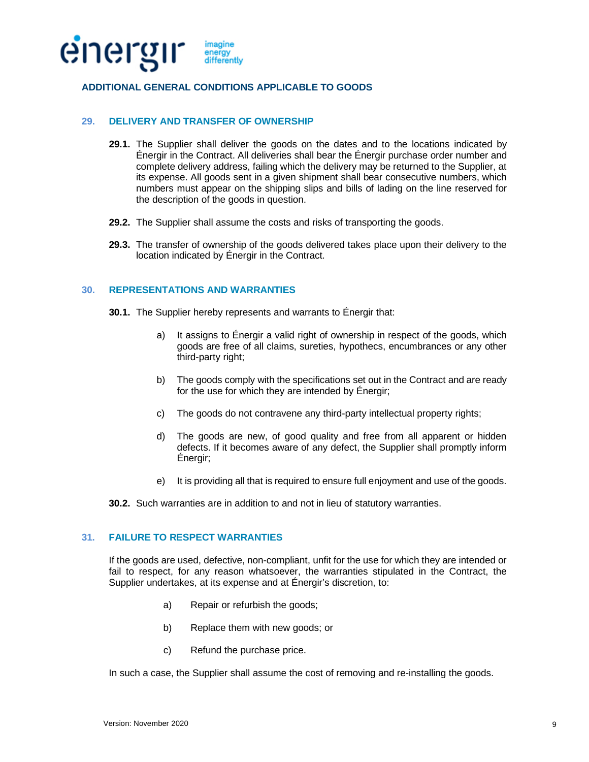

# **ADDITIONAL GENERAL CONDITIONS APPLICABLE TO GOODS**

## **29. DELIVERY AND TRANSFER OF OWNERSHIP**

- **29.1.** The Supplier shall deliver the goods on the dates and to the locations indicated by Énergir in the Contract. All deliveries shall bear the Énergir purchase order number and complete delivery address, failing which the delivery may be returned to the Supplier, at its expense. All goods sent in a given shipment shall bear consecutive numbers, which numbers must appear on the shipping slips and bills of lading on the line reserved for the description of the goods in question.
- **29.2.** The Supplier shall assume the costs and risks of transporting the goods.
- **29.3.** The transfer of ownership of the goods delivered takes place upon their delivery to the location indicated by Énergir in the Contract.

#### <span id="page-8-0"></span>**30. REPRESENTATIONS AND WARRANTIES**

- **30.1.** The Supplier hereby represents and warrants to Énergir that:
	- a) It assigns to Énergir a valid right of ownership in respect of the goods, which goods are free of all claims, sureties, hypothecs, encumbrances or any other third-party right;
	- b) The goods comply with the specifications set out in the Contract and are ready for the use for which they are intended by Énergir;
	- c) The goods do not contravene any third-party intellectual property rights;
	- d) The goods are new, of good quality and free from all apparent or hidden defects. If it becomes aware of any defect, the Supplier shall promptly inform Énergir;
	- e) It is providing all that is required to ensure full enjoyment and use of the goods.

**30.2.** Such warranties are in addition to and not in lieu of statutory warranties.

# **31. FAILURE TO RESPECT WARRANTIES**

If the goods are used, defective, non-compliant, unfit for the use for which they are intended or fail to respect, for any reason whatsoever, the warranties stipulated in the Contract, the Supplier undertakes, at its expense and at Énergir's discretion, to:

- a) Repair or refurbish the goods;
- b) Replace them with new goods; or
- c) Refund the purchase price.

In such a case, the Supplier shall assume the cost of removing and re-installing the goods.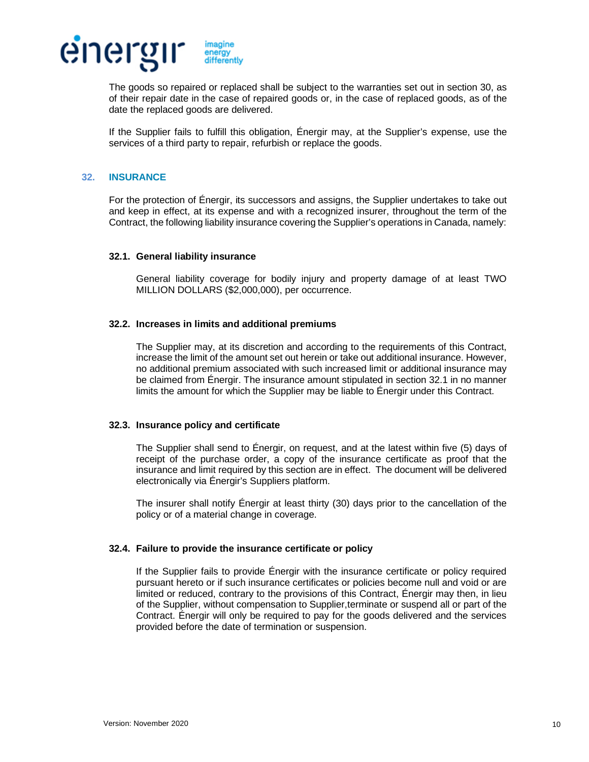

The goods so repaired or replaced shall be subject to the warranties set out in section 30, as of their repair date in the case of repaired goods or, in the case of replaced goods, a[s of](#page-8-0) the date the replaced goods are delivered.

If the Supplier fails to fulfill this obligation, Énergir may, at the Supplier's expense, use the services of a third party to repair, refurbish or replace the goods.

# <span id="page-9-0"></span>**32. INSURANCE**

For the protection of Énergir, its successors and assigns, the Supplier undertakes to take out and keep in effect, at its expense and with a recognized insurer, throughout the term of the Contract, the following liability insurance covering the Supplier's operations in Canada, namely:

#### <span id="page-9-1"></span>**32.1. General liability insurance**

General liability coverage for bodily injury and property damage of at least TWO MILLION DOLLARS (\$2,000,000), per occurrence.

#### **32.2. Increases in limits and additional premiums**

The Supplier may, at its discretion and according to the requirements of this Contract, increase the limit of the amount set out herein or take out additional insurance. However, no additional premium associated with such increased limit or additional insurance may be claimed from Énergir. The insurance amount stipulated in section [32.1](#page-9-1) in no manner limits the amount for which the Supplier may be liable to Énergir under this Contract.

#### **32.3. Insurance policy and certificate**

The Supplier shall send to Énergir, on request, and at the latest within five (5) days of receipt of the purchase order, a copy of the insurance certificate as proof that the insurance and limit required by this section are in effect. The document will be delivered electronically via Énergir's Suppliers platform.

The insurer shall notify Énergir at least thirty (30) days prior to the cancellation of the policy or of a material change in coverage.

#### **32.4. Failure to provide the insurance certificate or policy**

If the Supplier fails to provide Énergir with the insurance certificate or policy required pursuant hereto or if such insurance certificates or policies become null and void or are limited or reduced, contrary to the provisions of this Contract, Énergir may then, in lieu of the Supplier, without compensation to Supplier,terminate or suspend all or part of the Contract. Énergir will only be required to pay for the goods delivered and the services provided before the date of termination or suspension.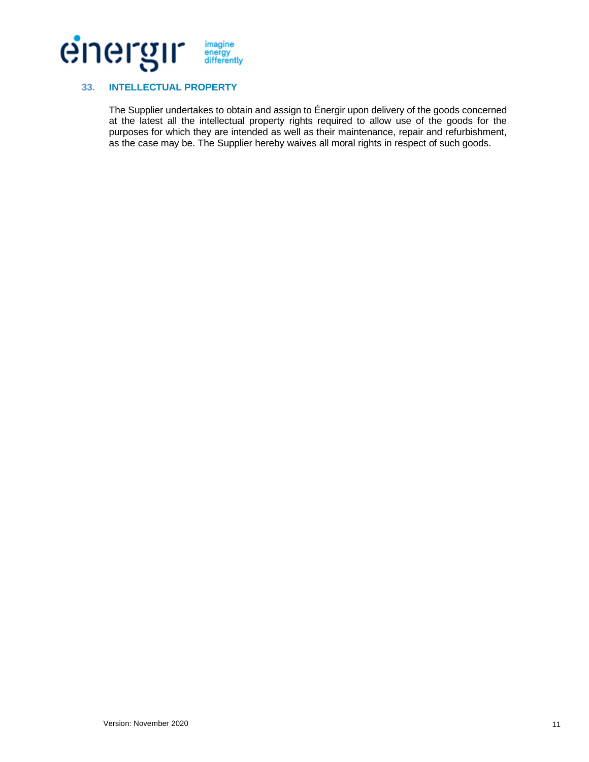

# <span id="page-10-0"></span>**33. INTELLECTUAL PROPERTY**

The Supplier undertakes to obtain and assign to Énergir upon delivery of the goods concerned at the latest all the intellectual property rights required to allow use of the goods for the purposes for which they are intended as well as their maintenance, repair and refurbishment, as the case may be. The Supplier hereby waives all moral rights in respect of such goods.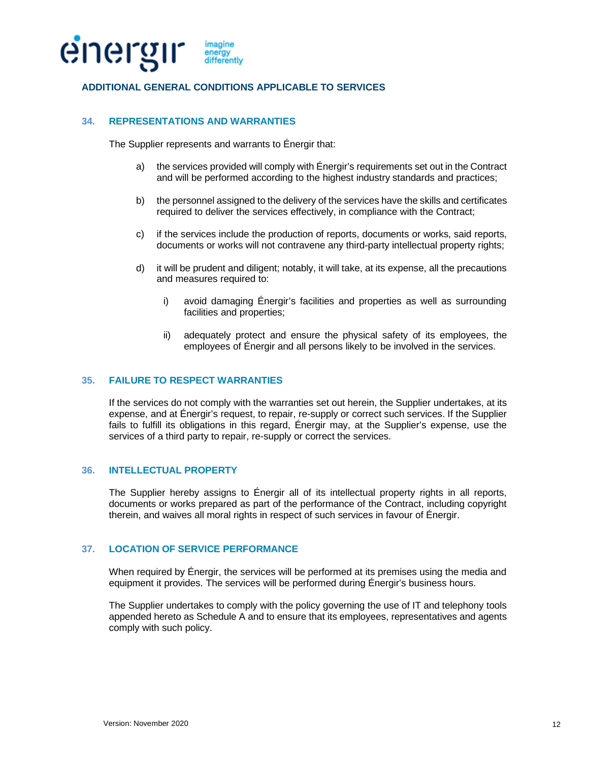

# **ADDITIONAL GENERAL CONDITIONS APPLICABLE TO SERVICES**

# **34. REPRESENTATIONS AND WARRANTIES**

The Supplier represents and warrants to Énergir that:

- a) the services provided will comply with Énergir's requirements set out in the Contract and will be performed according to the highest industry standards and practices;
- b) the personnel assigned to the delivery of the services have the skills and certificates required to deliver the services effectively, in compliance with the Contract;
- c) if the services include the production of reports, documents or works, said reports, documents or works will not contravene any third-party intellectual property rights;
- d) it will be prudent and diligent; notably, it will take, at its expense, all the precautions and measures required to:
	- i) avoid damaging Énergir's facilities and properties as well as surrounding facilities and properties;
	- ii) adequately protect and ensure the physical safety of its employees, the employees of Énergir and all persons likely to be involved in the services.

# **35. FAILURE TO RESPECT WARRANTIES**

If the services do not comply with the warranties set out herein, the Supplier undertakes, at its expense, and at Énergir's request, to repair, re-supply or correct such services. If the Supplier fails to fulfill its obligations in this regard, Énergir may, at the Supplier's expense, use the services of a third party to repair, re-supply or correct the services.

# <span id="page-11-0"></span>**36. INTELLECTUAL PROPERTY**

The Supplier hereby assigns to Énergir all of its intellectual property rights in all reports, documents or works prepared as part of the performance of the Contract, including copyright therein, and waives all moral rights in respect of such services in favour of Énergir.

#### **37. LOCATION OF SERVICE PERFORMANCE**

When required by Énergir, the services will be performed at its premises using the media and equipment it provides. The services will be performed during Énergir's business hours.

The Supplier undertakes to comply with the policy governing the use of IT and telephony tools appended hereto as Schedule A and to ensure that its employees, representatives and agents comply with such policy.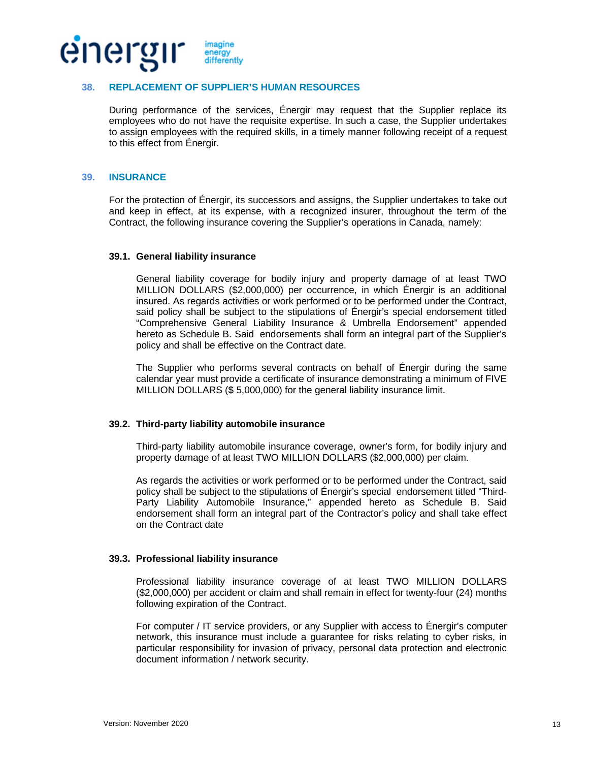

### **38. REPLACEMENT OF SUPPLIER'S HUMAN RESOURCES**

During performance of the services, Énergir may request that the Supplier replace its employees who do not have the requisite expertise. In such a case, the Supplier undertakes to assign employees with the required skills, in a timely manner following receipt of a request to this effect from Énergir.

#### <span id="page-12-0"></span>**39. INSURANCE**

For the protection of Énergir, its successors and assigns, the Supplier undertakes to take out and keep in effect, at its expense, with a recognized insurer, throughout the term of the Contract, the following insurance covering the Supplier's operations in Canada, namely:

#### **39.1. General liability insurance**

General liability coverage for bodily injury and property damage of at least TWO MILLION DOLLARS (\$2,000,000) per occurrence, in which Énergir is an additional insured. As regards activities or work performed or to be performed under the Contract, said policy shall be subject to the stipulations of Énergir's special endorsement titled "Comprehensive General Liability Insurance & Umbrella Endorsement" appended hereto as Schedule B. Said endorsements shall form an integral part of the Supplier's policy and shall be effective on the Contract date.

The Supplier who performs several contracts on behalf of Énergir during the same calendar year must provide a certificate of insurance demonstrating a minimum of FIVE MILLION DOLLARS (\$ 5,000,000) for the general liability insurance limit.

#### **39.2. Third-party liability automobile insurance**

Third-party liability automobile insurance coverage, owner's form, for bodily injury and property damage of at least TWO MILLION DOLLARS (\$2,000,000) per claim.

As regards the activities or work performed or to be performed under the Contract, said policy shall be subject to the stipulations of Énergir's special endorsement titled "Third-Party Liability Automobile Insurance," appended hereto as Schedule B. Said endorsement shall form an integral part of the Contractor's policy and shall take effect on the Contract date

# **39.3. Professional liability insurance**

Professional liability insurance coverage of at least TWO MILLION DOLLARS (\$2,000,000) per accident or claim and shall remain in effect for twenty-four (24) months following expiration of the Contract.

For computer / IT service providers, or any Supplier with access to Énergir's computer network, this insurance must include a guarantee for risks relating to cyber risks, in particular responsibility for invasion of privacy, personal data protection and electronic document information / network security.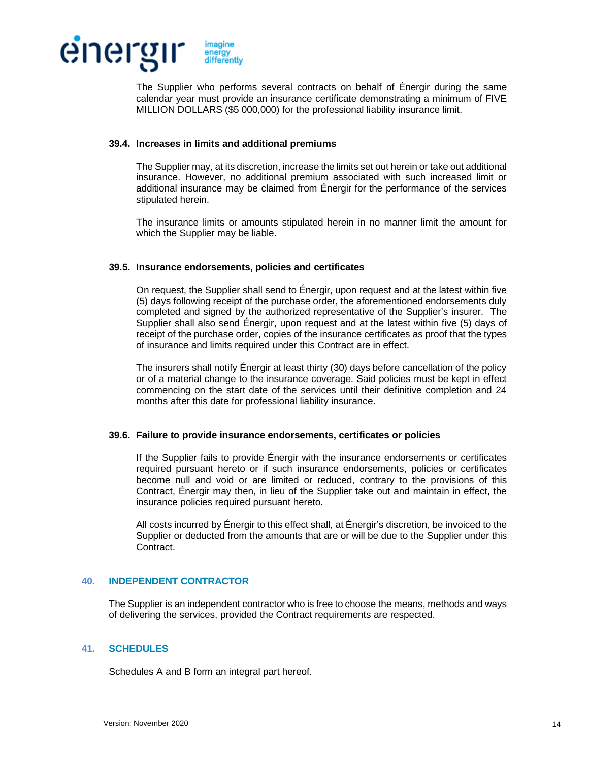

The Supplier who performs several contracts on behalf of Énergir during the same calendar year must provide an insurance certificate demonstrating a minimum of FIVE MILLION DOLLARS (\$5 000,000) for the professional liability insurance limit.

#### **39.4. Increases in limits and additional premiums**

The Supplier may, at its discretion, increase the limits set out herein or take out additional insurance. However, no additional premium associated with such increased limit or additional insurance may be claimed from Énergir for the performance of the services stipulated herein.

The insurance limits or amounts stipulated herein in no manner limit the amount for which the Supplier may be liable.

# **39.5. Insurance endorsements, policies and certificates**

On request, the Supplier shall send to Énergir, upon request and at the latest within five (5) days following receipt of the purchase order, the aforementioned endorsements duly completed and signed by the authorized representative of the Supplier's insurer. The Supplier shall also send Énergir, upon request and at the latest within five (5) days of receipt of the purchase order, copies of the insurance certificates as proof that the types of insurance and limits required under this Contract are in effect.

The insurers shall notify Énergir at least thirty (30) days before cancellation of the policy or of a material change to the insurance coverage. Said policies must be kept in effect commencing on the start date of the services until their definitive completion and 24 months after this date for professional liability insurance.

#### **39.6. Failure to provide insurance endorsements, certificates or policies**

If the Supplier fails to provide Énergir with the insurance endorsements or certificates required pursuant hereto or if such insurance endorsements, policies or certificates become null and void or are limited or reduced, contrary to the provisions of this Contract, Énergir may then, in lieu of the Supplier take out and maintain in effect, the insurance policies required pursuant hereto.

All costs incurred by Énergir to this effect shall, at Énergir's discretion, be invoiced to the Supplier or deducted from the amounts that are or will be due to the Supplier under this Contract.

# **40. INDEPENDENT CONTRACTOR**

The Supplier is an independent contractor who is free to choose the means, methods and ways of delivering the services, provided the Contract requirements are respected.

# **41. SCHEDULES**

Schedules A and B form an integral part hereof.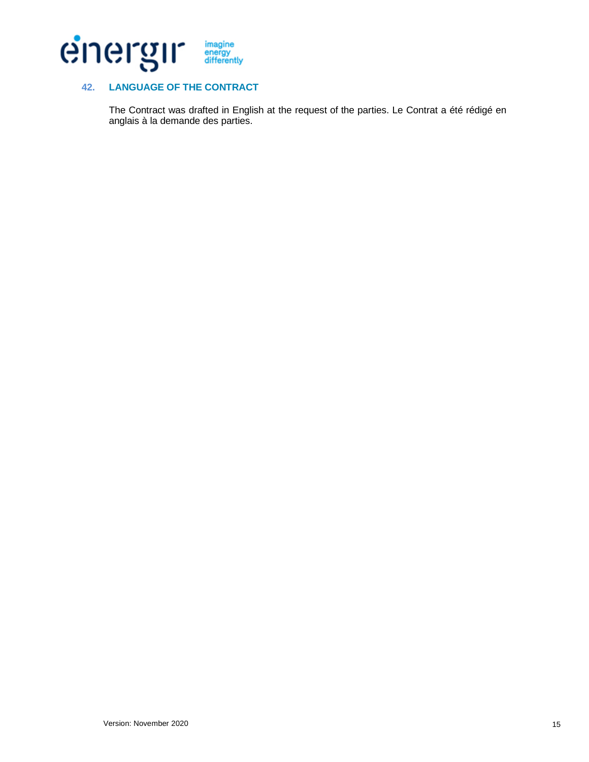

# **42. LANGUAGE OF THE CONTRACT**

The Contract was drafted in English at the request of the parties. Le Contrat a été rédigé en anglais à la demande des parties.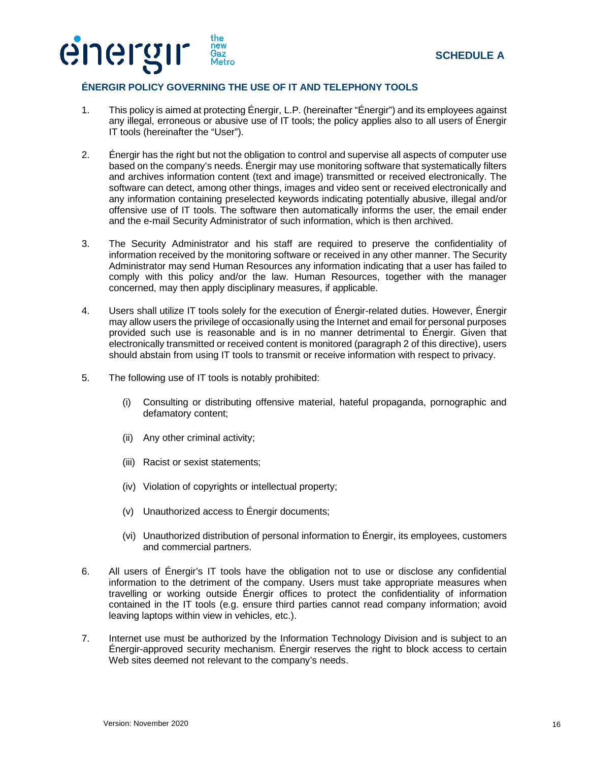



# **ÉNERGIR POLICY GOVERNING THE USE OF IT AND TELEPHONY TOOLS**

- 1. This policy is aimed at protecting Énergir, L.P. (hereinafter "Énergir") and its employees against any illegal, erroneous or abusive use of IT tools; the policy applies also to all users of Énergir IT tools (hereinafter the "User").
- <span id="page-15-0"></span>2. Énergir has the right but not the obligation to control and supervise all aspects of computer use based on the company's needs. Énergir may use monitoring software that systematically filters and archives information content (text and image) transmitted or received electronically. The software can detect, among other things, images and video sent or received electronically and any information containing preselected keywords indicating potentially abusive, illegal and/or offensive use of IT tools. The software then automatically informs the user, the email ender and the e-mail Security Administrator of such information, which is then archived.
- 3. The Security Administrator and his staff are required to preserve the confidentiality of information received by the monitoring software or received in any other manner. The Security Administrator may send Human Resources any information indicating that a user has failed to comply with this policy and/or the law. Human Resources, together with the manager concerned, may then apply disciplinary measures, if applicable.
- 4. Users shall utilize IT tools solely for the execution of Énergir-related duties. However, Énergir may allow users the privilege of occasionally using the Internet and email for personal purposes provided such use is reasonable and is in no manner detrimental to Énergir. Given that electronically transmitted or received content is monitored (paragraph [2](#page-15-0) of this directive), users should abstain from using IT tools to transmit or receive information with respect to privacy.
- 5. The following use of IT tools is notably prohibited:
	- (i) Consulting or distributing offensive material, hateful propaganda, pornographic and defamatory content;
	- (ii) Any other criminal activity;
	- (iii) Racist or sexist statements;
	- (iv) Violation of copyrights or intellectual property;
	- (v) Unauthorized access to Énergir documents;
	- (vi) Unauthorized distribution of personal information to Énergir, its employees, customers and commercial partners.
- 6. All users of Énergir's IT tools have the obligation not to use or disclose any confidential information to the detriment of the company. Users must take appropriate measures when travelling or working outside Énergir offices to protect the confidentiality of information contained in the IT tools (e.g. ensure third parties cannot read company information; avoid leaving laptops within view in vehicles, etc.).
- 7. Internet use must be authorized by the Information Technology Division and is subject to an Énergir-approved security mechanism. Énergir reserves the right to block access to certain Web sites deemed not relevant to the company's needs.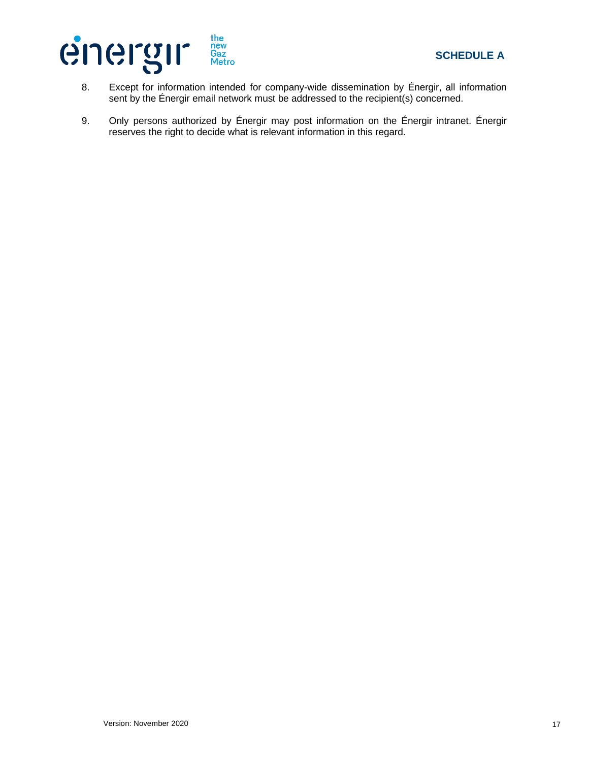

- 8. Except for information intended for company-wide dissemination by Énergir, all information sent by the Énergir email network must be addressed to the recipient(s) concerned.
- 9. Only persons authorized by Énergir may post information on the Énergir intranet. Énergir reserves the right to decide what is relevant information in this regard.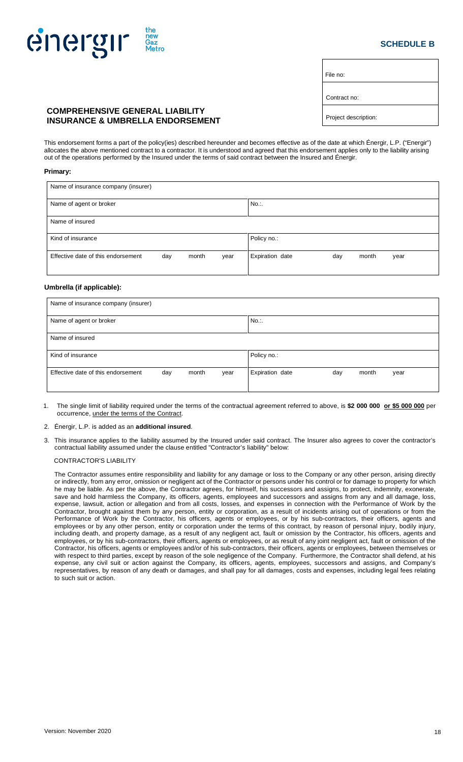# energir new<br>Gaz<br>Met

# **SCHEDULE B**

File no:

Contract no:

# **COMPREHENSIVE GENERAL LIABILITY INSURANCE & UMBRELLA ENDORSEMENT**

This endorsement forms a part of the policy(ies) described hereunder and becomes effective as of the date at which Énergir, L.P. ("Energir") allocates the above mentioned contract to a contractor. It is understood and agreed that this endorsement applies only to the liability arising out of the operations performed by the Insured under the terms of said contract between the Insured and Énergir.

#### **Primary:**

| Name of insurance company (insurer) |     |       |      |                 |     |       |      |  |
|-------------------------------------|-----|-------|------|-----------------|-----|-------|------|--|
| Name of agent or broker             |     |       |      | No              |     |       |      |  |
| Name of insured                     |     |       |      |                 |     |       |      |  |
| Kind of insurance                   |     |       |      | Policy no.:     |     |       |      |  |
| Effective date of this endorsement  | day | month | year | Expiration date | day | month | year |  |

# **Umbrella (if applicable):**

| Name of insurance company (insurer)                        |                                         |  |  |  |  |  |  |  |
|------------------------------------------------------------|-----------------------------------------|--|--|--|--|--|--|--|
| Name of agent or broker                                    | No                                      |  |  |  |  |  |  |  |
| Name of insured                                            |                                         |  |  |  |  |  |  |  |
| Kind of insurance                                          | Policy no.:                             |  |  |  |  |  |  |  |
| Effective date of this endorsement<br>month<br>day<br>year | Expiration date<br>month<br>day<br>year |  |  |  |  |  |  |  |

- 1. The single limit of liability required under the terms of the contractual agreement referred to above, is **\$2 000 000 or \$5 000 000** per occurrence, under the terms of the Contract.
- 2. Énergir, L.P. is added as an **additional insured**.
- 3. This insurance applies to the liability assumed by the Insured under said contract. The Insurer also agrees to cover the contractor's contractual liability assumed under the clause entitled "Contractor's liability" below:

# CONTRACTOR'S LIABILITY

The Contractor assumes entire responsibility and liability for any damage or loss to the Company or any other person, arising directly or indirectly, from any error, omission or negligent act of the Contractor or persons under his control or for damage to property for which he may be liable. As per the above, the Contractor agrees, for himself, his successors and assigns, to protect, indemnity, exonerate, save and hold harmless the Company, its officers, agents, employees and successors and assigns from any and all damage, loss, expense, lawsuit, action or allegation and from all costs, losses, and expenses in connection with the Performance of Work by the Contractor, brought against them by any person, entity or corporation, as a result of incidents arising out of operations or from the Performance of Work by the Contractor, his officers, agents or employees, or by his sub-contractors, their officers, agents and employees or by any other person, entity or corporation under the terms of this contract, by reason of personal injury, bodily injury, including death, and property damage, as a result of any negligent act, fault or omission by the Contractor, his officers, agents and employees, or by his sub-contractors, their officers, agents or employees, or as result of any joint negligent act, fault or omission of the Contractor, his officers, agents or employees and/or of his sub-contractors, their officers, agents or employees, between themselves or with respect to third parties, except by reason of the sole negligence of the Company. Furthermore, the Contractor shall defend, at his expense, any civil suit or action against the Company, its officers, agents, employees, successors and assigns, and Company's representatives, by reason of any death or damages, and shall pay for all damages, costs and expenses, including legal fees relating to such suit or action.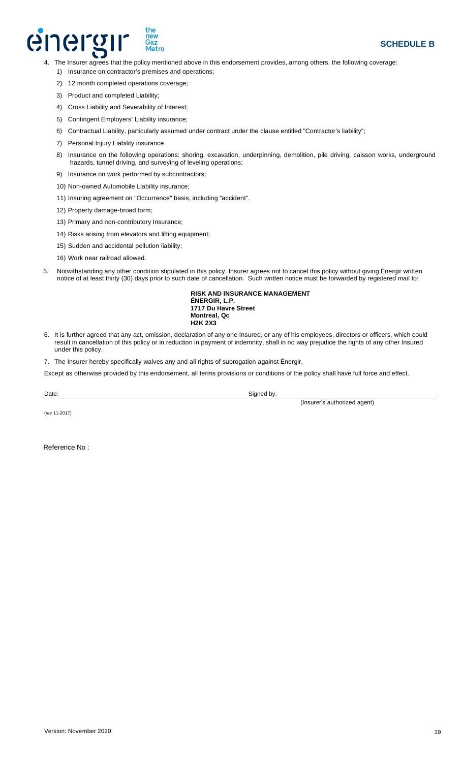# energi new<br>Gaz<br>Metro

- 4. The Insurer agrees that the policy mentioned above in this endorsement provides, among others, the following coverage:
	- 1) Insurance on contractor's premises and operations;
	- 2) 12 month completed operations coverage;
	- 3) Product and completed Liability;
	- 4) Cross Liability and Severability of Interest;
	- 5) Contingent Employers' Liability insurance;
	- 6) Contractual Liability, particularly assumed under contract under the clause entitled "Contractor's liability";
	- 7) Personal Injury Liability insurance
	- 8) Insurance on the following operations: shoring, excavation, underpinning, demolition, pile driving, caisson works, underground hazards, tunnel driving, and surveying of leveling operations;
	- 9) Insurance on work performed by subcontractors;
	- 10) Non-owned Automobile Liability insurance;
	- 11) Insuring agreement on "Occurrence" basis, including "accident".
	- 12) Property damage-broad form;
	- 13) Primary and non-contributory Insurance;
	- 14) Risks arising from elevators and lifting equipment;
	- 15) Sudden and accidental pollution liability;
	- 16) Work near railroad allowed.
- 5. Notwithstanding any other condition stipulated in this policy, Insurer agrees not to cancel this policy without giving Énergir written notice of at least thirty (30) days prior to such date of cancellation. Such written notice must be forwarded by registered mail to:

**RISK AND INSURANCE MANAGEMENT ÉNERGIR, L.P. 1717 Du Havre Street Montreal, Qc H2K 2X3**

- 6. It is further agreed that any act, omission, declaration of any one Insured, or any of his employees, directors or officers, which could result in cancellation of this policy or in reduction in payment of indemnity, shall in no way prejudice the rights of any other Insured under this policy.
- 7. The Insurer hereby specifically waives any and all rights of subrogation against Énergir.

Except as otherwise provided by this endorsement, all terms provisions or conditions of the policy shall have full force and effect.

Date: Signed by:

(Insurer's authorized agent)

(rev 11-2017)

Reference No :